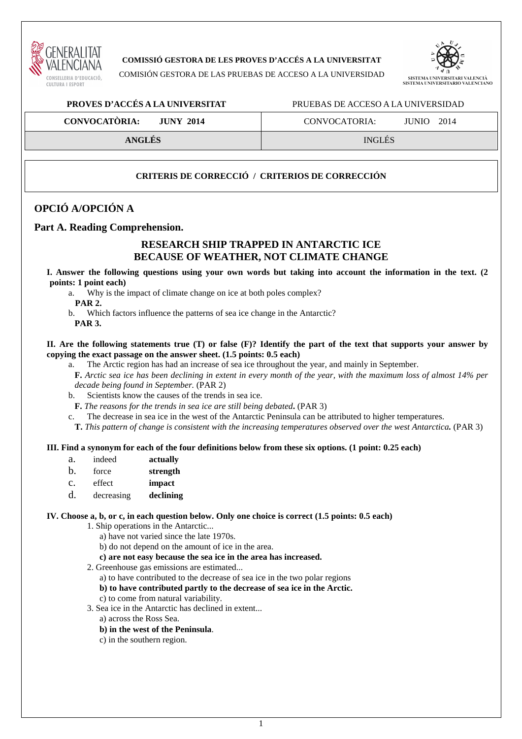

## **COMISSIÓ GESTORA DE LES PROVES D'ACCÉS A LA UNIVERSITAT**

COMISIÓN GESTORA DE LAS PRUEBAS DE ACCESO A LA UNIVERSIDAD



### **PROVES D'ACCÉS A LA UNIVERSITAT** PRUEBAS DE ACCESO A LA UNIVERSIDAD

**CONVOCATÒRIA: JUNY 2014** CONVOCATORIA: JUNIO 2014

**ANGLÉS** INGLÉS

## **CRITERIS DE CORRECCIÓ / CRITERIOS DE CORRECCIÓN**

## **OPCIÓ A/OPCIÓN A**

## **Part A. Reading Comprehension.**

## **RESEARCH SHIP TRAPPED IN ANTARCTIC ICE BECAUSE OF WEATHER, NOT CLIMATE CHANGE**

**I. Answer the following questions using your own words but taking into account the information in the text. (2 points: 1 point each)** 

a. Why is the impact of climate change on ice at both poles complex?

 **PAR 2.** 

b. Which factors influence the patterns of sea ice change in the Antarctic?

**PAR 3.** 

#### **II. Are the following statements true (T) or false (F)? Identify the part of the text that supports your answer by copying the exact passage on the answer sheet. (1.5 points: 0.5 each)**

- a. The Arctic region has had an increase of sea ice throughout the year, and mainly in September.
	- **F.** *Arctic sea ice has been declining in extent in every month of the year, with the maximum loss of almost 14% per decade being found in September.* (PAR 2)
- b. Scientists know the causes of the trends in sea ice.
- **F.** *The reasons for the trends in sea ice are still being debated***.** (PAR 3)
- c. The decrease in sea ice in the west of the Antarctic Peninsula can be attributed to higher temperatures.
- **T.** *This pattern of change is consistent with the increasing temperatures observed over the west Antarctica.* (PAR 3)

#### **III. Find a synonym for each of the four definitions below from these six options. (1 point: 0.25 each)**

- a. indeed **actually**
- b. force **strength**
- c. effect **impact**
- d. decreasing **declining**

#### **IV. Choose a, b, or c, in each question below. Only one choice is correct (1.5 points: 0.5 each)**

1. Ship operations in the Antarctic...

- a) have not varied since the late 1970s.
- b) do not depend on the amount of ice in the area.
- **c) are not easy because the sea ice in the area has increased.**

2. Greenhouse gas emissions are estimated...

- a) to have contributed to the decrease of sea ice in the two polar regions
- **b) to have contributed partly to the decrease of sea ice in the Arctic.**
- c) to come from natural variability.
- 3. Sea ice in the Antarctic has declined in extent...
	- a) across the Ross Sea.
	- **b) in the west of the Peninsula**.
	- c) in the southern region.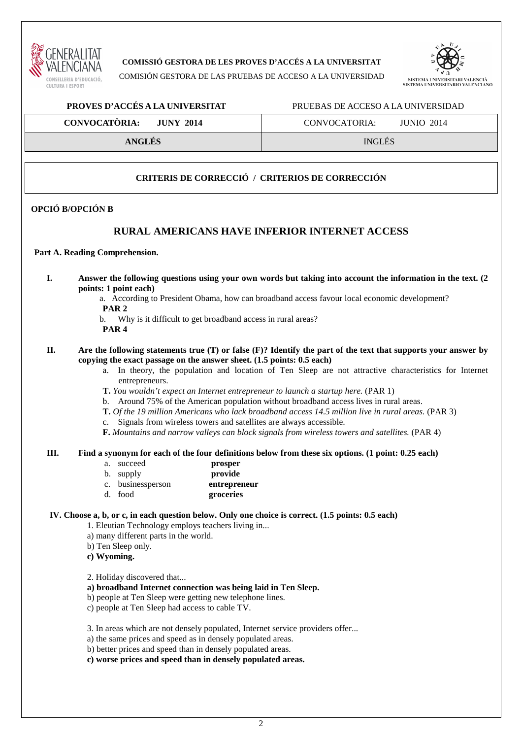

**COMISSIÓ GESTORA DE LES PROVES D'ACCÉS A LA UNIVERSITAT** 

COMISIÓN GESTORA DE LAS PRUEBAS DE ACCESO A LA UNIVERSIDAD



## **PROVES D'ACCÉS A LA UNIVERSITAT** PRUEBAS DE ACCESO A LA UNIVERSIDAD

# **CONVOCATÒRIA:** JUNY 2014 **CONVOCATORIA:** JUNIO 2014

**ANGLÉS** INGLÉS

## **CRITERIS DE CORRECCIÓ / CRITERIOS DE CORRECCIÓN**

## **OPCIÓ B/OPCIÓN B**

## **RURAL AMERICANS HAVE INFERIOR INTERNET ACCESS**

#### **Part A. Reading Comprehension.**

- **I. Answer the following questions using your own words but taking into account the information in the text. (2 points: 1 point each)** 
	- a. According to President Obama, how can broadband access favour local economic development? **PAR 2**
	- b. Why is it difficult to get broadband access in rural areas?
	- **PAR 4**

#### **II. Are the following statements true (T) or false (F)? Identify the part of the text that supports your answer by copying the exact passage on the answer sheet. (1.5 points: 0.5 each)**

- a. In theory, the population and location of Ten Sleep are not attractive characteristics for Internet entrepreneurs.
- **T.** *You wouldn't expect an Internet entrepreneur to launch a startup here.* (PAR 1)
- b. Around 75% of the American population without broadband access lives in rural areas.
- **T.** *Of the 19 million Americans who lack broadband access 14.5 million live in rural areas.* (PAR 3)
- c. Signals from wireless towers and satellites are always accessible.
- **F.** *Mountains and narrow valleys can block signals from wireless towers and satellites.* (PAR 4)

#### **III. Find a synonym for each of the four definitions below from these six options. (1 point: 0.25 each)**

- a. succeed **prosper**
- b. supply **provide**
- c. businessperson **entrepreneur**
- d. food **groceries**

## **IV. Choose a, b, or c, in each question below. Only one choice is correct. (1.5 points: 0.5 each)**

1. Eleutian Technology employs teachers living in...

- a) many different parts in the world.
- b) Ten Sleep only.
- **c) Wyoming.**

2. Holiday discovered that...

- **a) broadband Internet connection was being laid in Ten Sleep.**
- b) people at Ten Sleep were getting new telephone lines.
- c) people at Ten Sleep had access to cable TV.
- 3. In areas which are not densely populated, Internet service providers offer...
- a) the same prices and speed as in densely populated areas.
- b) better prices and speed than in densely populated areas.
- **c) worse prices and speed than in densely populated areas.**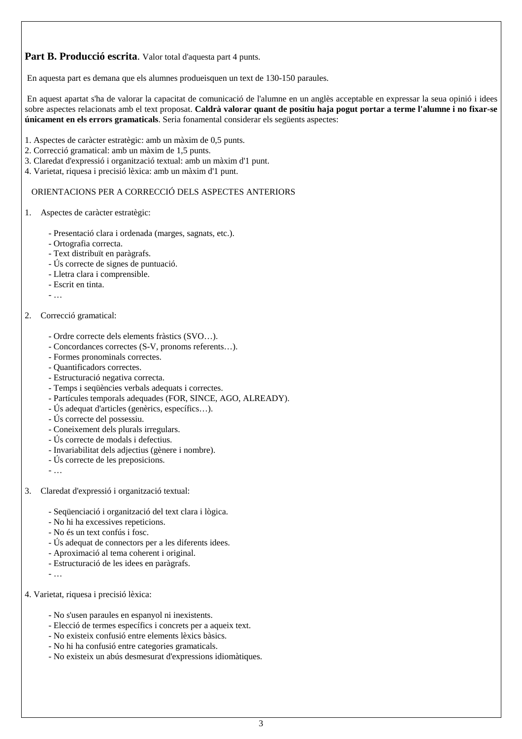**Part B. Producció escrita**. Valor total d'aquesta part 4 punts.

En aquesta part es demana que els alumnes produeisquen un text de 130-150 paraules.

 En aquest apartat s'ha de valorar la capacitat de comunicació de l'alumne en un anglès acceptable en expressar la seua opinió i idees sobre aspectes relacionats amb el text proposat. **Caldrà valorar quant de positiu haja pogut portar a terme l'alumne i no fixar-se únicament en els errors gramaticals**. Seria fonamental considerar els següents aspectes:

- 1. Aspectes de caràcter estratègic: amb un màxim de 0,5 punts.
- 2. Correcció gramatical: amb un màxim de 1,5 punts.
- 3. Claredat d'expressió i organització textual: amb un màxim d'1 punt.
- 4. Varietat, riquesa i precisió lèxica: amb un màxim d'1 punt.

## ORIENTACIONS PER A CORRECCIÓ DELS ASPECTES ANTERIORS

- 1. Aspectes de caràcter estratègic:
	- Presentació clara i ordenada (marges, sagnats, etc.).
	- Ortografia correcta.
	- Text distribuït en paràgrafs.
	- Ús correcte de signes de puntuació.
	- Lletra clara i comprensible.
	- Escrit en tinta.
	- …

## 2. Correcció gramatical:

- Ordre correcte dels elements fràstics (SVO…).
- Concordances correctes (S-V, pronoms referents…).
- Formes pronominals correctes.
- Quantificadors correctes.
- Estructuració negativa correcta.
- Temps i seqüències verbals adequats i correctes.
- Partícules temporals adequades (FOR, SINCE, AGO, ALREADY).
- Ús adequat d'articles (genèrics, específics…).
- Ús correcte del possessiu.
- Coneixement dels plurals irregulars.
- Ús correcte de modals i defectius.
- Invariabilitat dels adjectius (gènere i nombre).
- Ús correcte de les preposicions.
- …
- 3. Claredat d'expressió i organització textual:
	- Seqüenciació i organització del text clara i lògica.
	- No hi ha excessives repeticions.
	- No és un text confús i fosc.
	- Ús adequat de connectors per a les diferents idees.
	- Aproximació al tema coherent i original.
	- Estructuració de les idees en paràgrafs.
	- …
- 4. Varietat, riquesa i precisió lèxica:
	- No s'usen paraules en espanyol ni inexistents.
	- Elecció de termes específics i concrets per a aqueix text.
	- No existeix confusió entre elements lèxics bàsics.
	- No hi ha confusió entre categories gramaticals.
	- No existeix un abús desmesurat d'expressions idiomàtiques.